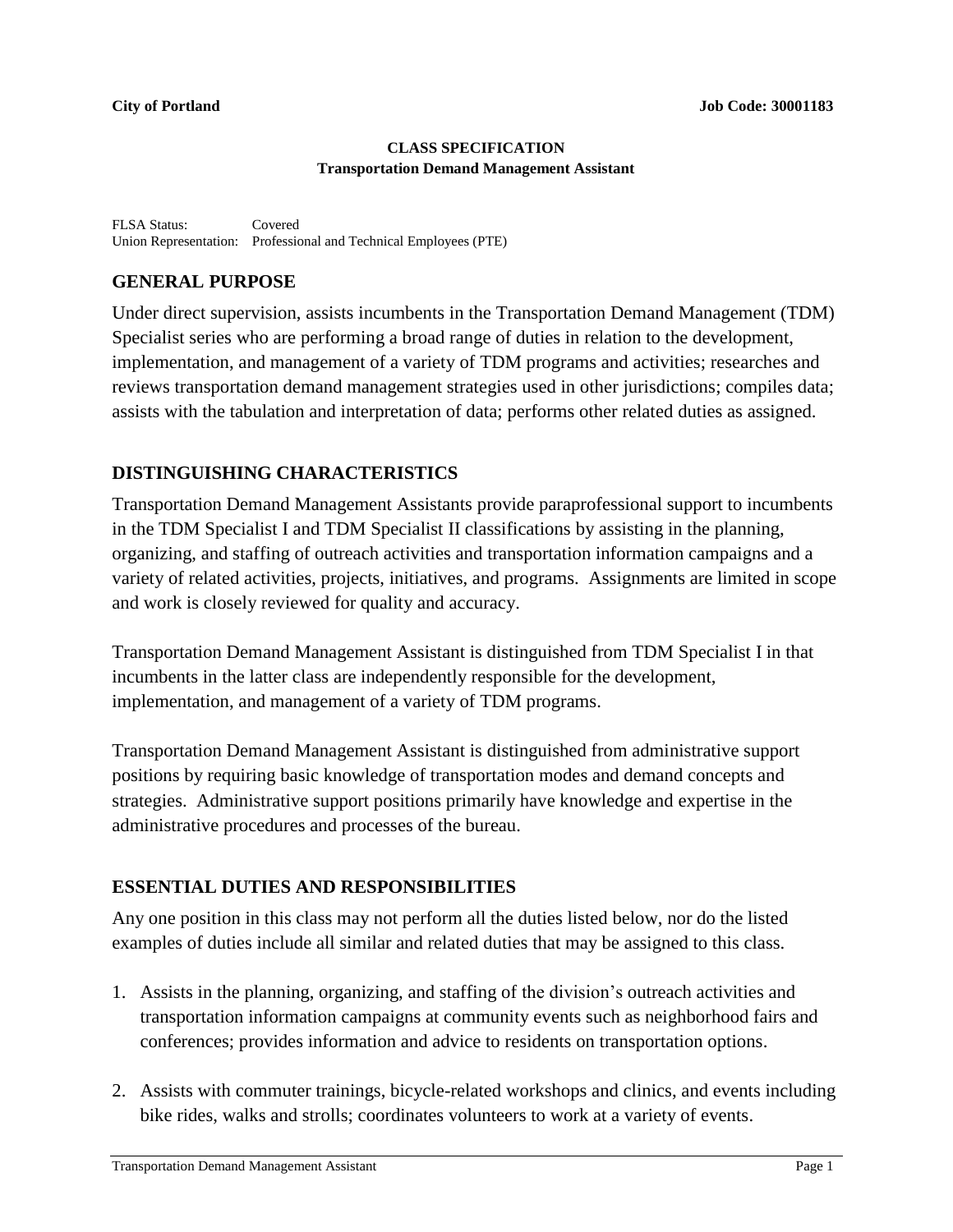#### **CLASS SPECIFICATION Transportation Demand Management Assistant**

FLSA Status: Covered Union Representation: Professional and Technical Employees (PTE)

## **GENERAL PURPOSE**

Under direct supervision, assists incumbents in the Transportation Demand Management (TDM) Specialist series who are performing a broad range of duties in relation to the development, implementation, and management of a variety of TDM programs and activities; researches and reviews transportation demand management strategies used in other jurisdictions; compiles data; assists with the tabulation and interpretation of data; performs other related duties as assigned.

## **DISTINGUISHING CHARACTERISTICS**

Transportation Demand Management Assistants provide paraprofessional support to incumbents in the TDM Specialist I and TDM Specialist II classifications by assisting in the planning, organizing, and staffing of outreach activities and transportation information campaigns and a variety of related activities, projects, initiatives, and programs. Assignments are limited in scope and work is closely reviewed for quality and accuracy.

Transportation Demand Management Assistant is distinguished from TDM Specialist I in that incumbents in the latter class are independently responsible for the development, implementation, and management of a variety of TDM programs.

Transportation Demand Management Assistant is distinguished from administrative support positions by requiring basic knowledge of transportation modes and demand concepts and strategies. Administrative support positions primarily have knowledge and expertise in the administrative procedures and processes of the bureau.

# **ESSENTIAL DUTIES AND RESPONSIBILITIES**

Any one position in this class may not perform all the duties listed below, nor do the listed examples of duties include all similar and related duties that may be assigned to this class.

- 1. Assists in the planning, organizing, and staffing of the division's outreach activities and transportation information campaigns at community events such as neighborhood fairs and conferences; provides information and advice to residents on transportation options.
- 2. Assists with commuter trainings, bicycle-related workshops and clinics, and events including bike rides, walks and strolls; coordinates volunteers to work at a variety of events.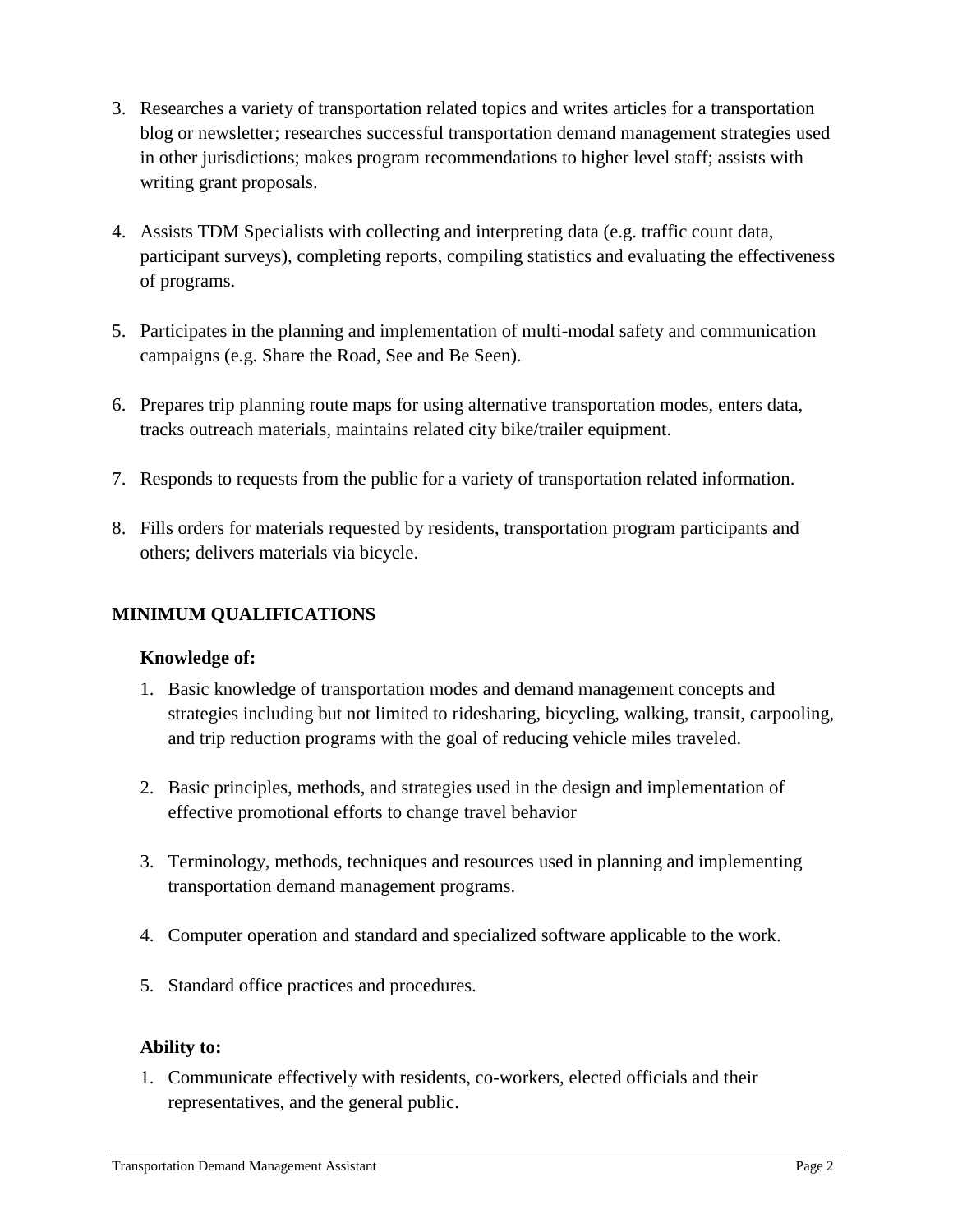- 3. Researches a variety of transportation related topics and writes articles for a transportation blog or newsletter; researches successful transportation demand management strategies used in other jurisdictions; makes program recommendations to higher level staff; assists with writing grant proposals.
- 4. Assists TDM Specialists with collecting and interpreting data (e.g. traffic count data, participant surveys), completing reports, compiling statistics and evaluating the effectiveness of programs.
- 5. Participates in the planning and implementation of multi-modal safety and communication campaigns (e.g. Share the Road, See and Be Seen).
- 6. Prepares trip planning route maps for using alternative transportation modes, enters data, tracks outreach materials, maintains related city bike/trailer equipment.
- 7. Responds to requests from the public for a variety of transportation related information.
- 8. Fills orders for materials requested by residents, transportation program participants and others; delivers materials via bicycle.

### **MINIMUM QUALIFICATIONS**

#### **Knowledge of:**

- 1. Basic knowledge of transportation modes and demand management concepts and strategies including but not limited to ridesharing, bicycling, walking, transit, carpooling, and trip reduction programs with the goal of reducing vehicle miles traveled.
- 2. Basic principles, methods, and strategies used in the design and implementation of effective promotional efforts to change travel behavior
- 3. Terminology, methods, techniques and resources used in planning and implementing transportation demand management programs.
- 4. Computer operation and standard and specialized software applicable to the work.
- 5. Standard office practices and procedures.

#### **Ability to:**

1. Communicate effectively with residents, co-workers, elected officials and their representatives, and the general public.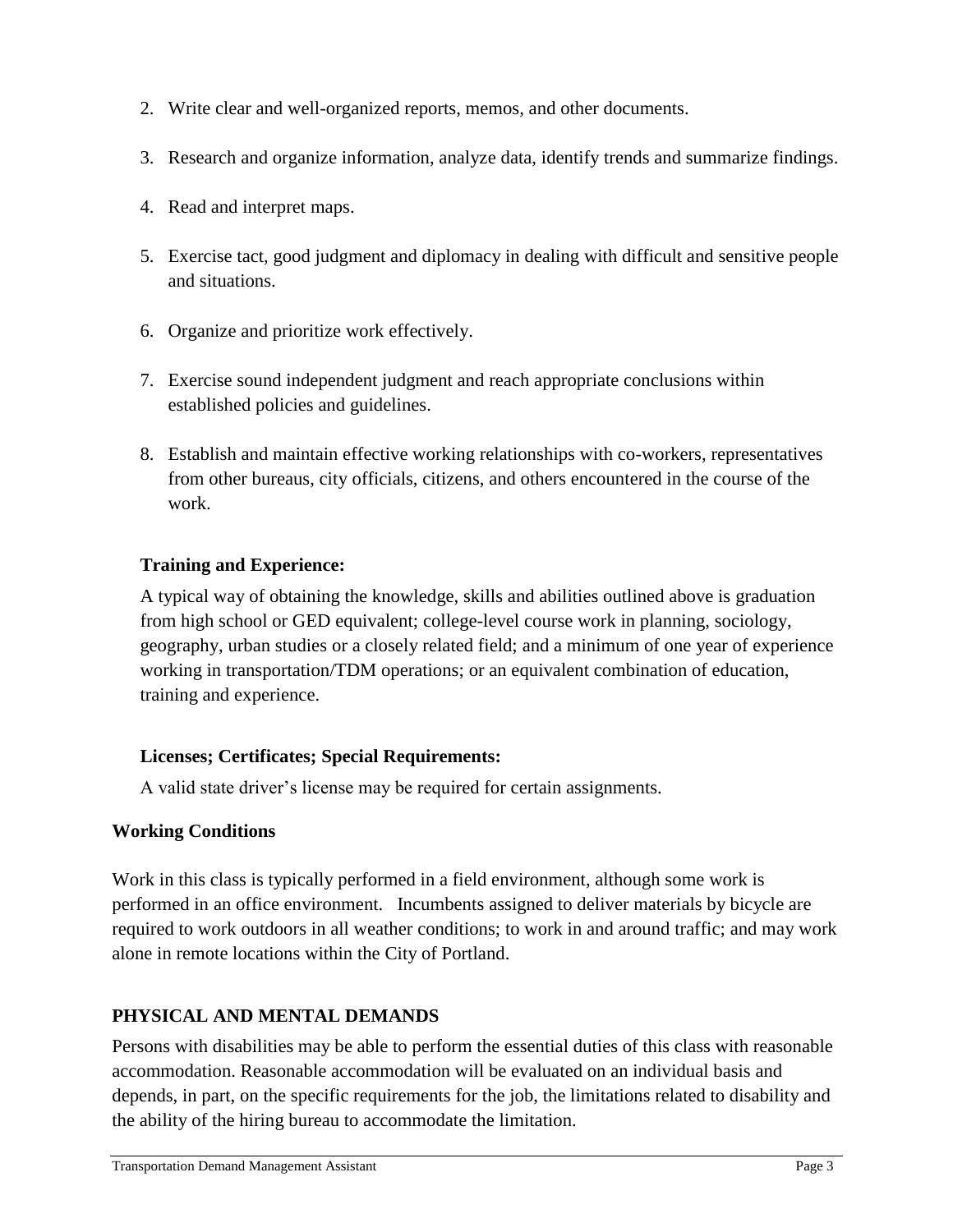- 2. Write clear and well-organized reports, memos, and other documents.
- 3. Research and organize information, analyze data, identify trends and summarize findings.
- 4. Read and interpret maps.
- 5. Exercise tact, good judgment and diplomacy in dealing with difficult and sensitive people and situations.
- 6. Organize and prioritize work effectively.
- 7. Exercise sound independent judgment and reach appropriate conclusions within established policies and guidelines.
- 8. Establish and maintain effective working relationships with co-workers, representatives from other bureaus, city officials, citizens, and others encountered in the course of the work.

## **Training and Experience:**

A typical way of obtaining the knowledge, skills and abilities outlined above is graduation from high school or GED equivalent; college-level course work in planning, sociology, geography, urban studies or a closely related field; and a minimum of one year of experience working in transportation/TDM operations; or an equivalent combination of education, training and experience.

#### **Licenses; Certificates; Special Requirements:**

A valid state driver's license may be required for certain assignments.

#### **Working Conditions**

Work in this class is typically performed in a field environment, although some work is performed in an office environment. Incumbents assigned to deliver materials by bicycle are required to work outdoors in all weather conditions; to work in and around traffic; and may work alone in remote locations within the City of Portland.

# **PHYSICAL AND MENTAL DEMANDS**

Persons with disabilities may be able to perform the essential duties of this class with reasonable accommodation. Reasonable accommodation will be evaluated on an individual basis and depends, in part, on the specific requirements for the job, the limitations related to disability and the ability of the hiring bureau to accommodate the limitation.